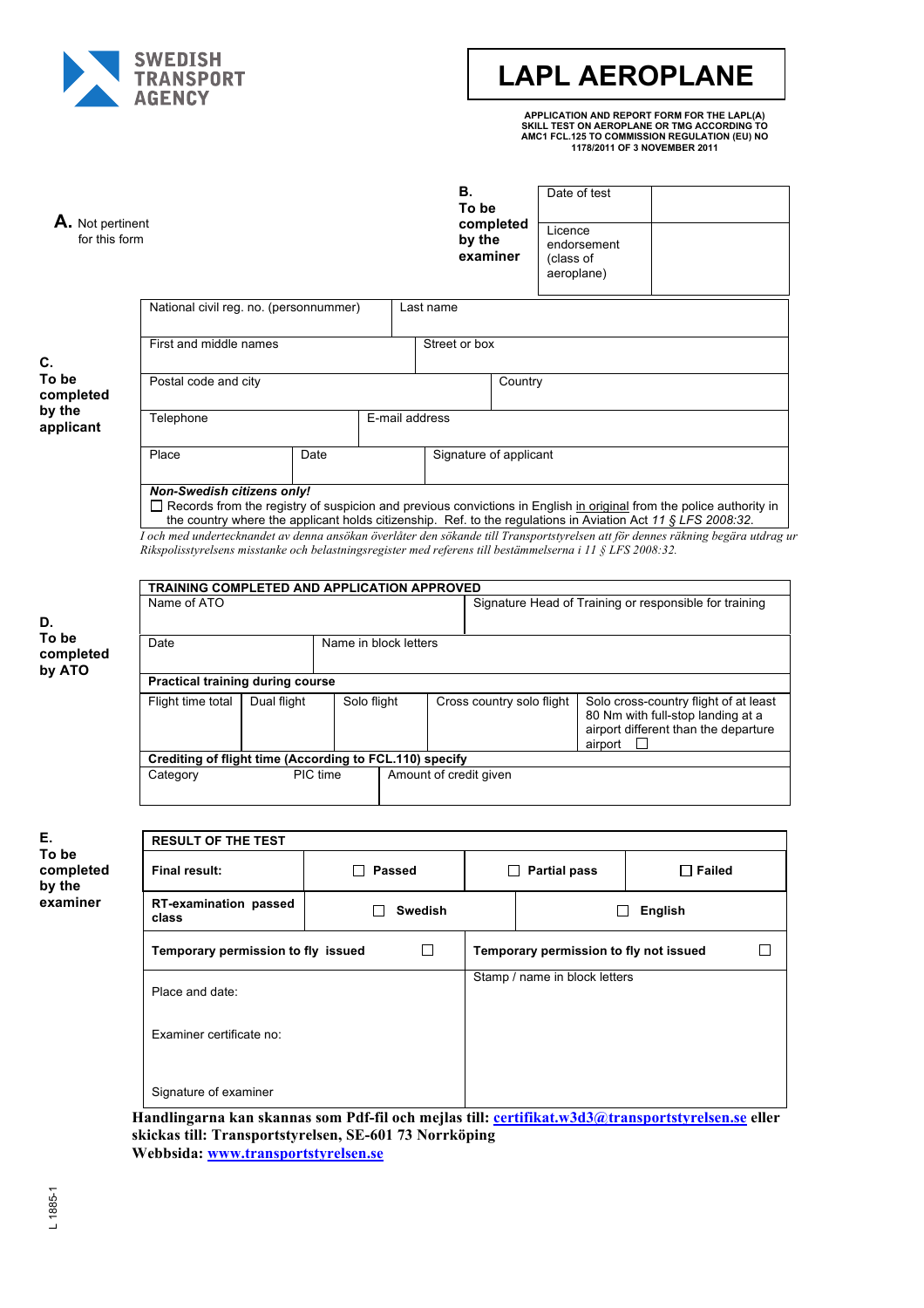

# **LAPL AEROPLANE**

**APPLICATION AND REPORT FORM FOR THE LAPL(A) SKILL TEST ON AEROPLANE OR TMG ACCORDING TO AMC1 FCL.125 TO COMMISSION REGULATION (EU) NO 1178/2011 OF 3 NOVEMBER 2011**

| A. Not pertinent<br>for this form |                                                                                                                                                                                                                                                                                                                                                                                                                                                                                                                            |  |             |                           |                                                        | В.<br>To be<br>by the<br>examiner | completed                                                                                                                     | Licence<br>(class of<br>aeroplane)          | Date of test<br>endorsement   |               |  |  |
|-----------------------------------|----------------------------------------------------------------------------------------------------------------------------------------------------------------------------------------------------------------------------------------------------------------------------------------------------------------------------------------------------------------------------------------------------------------------------------------------------------------------------------------------------------------------------|--|-------------|---------------------------|--------------------------------------------------------|-----------------------------------|-------------------------------------------------------------------------------------------------------------------------------|---------------------------------------------|-------------------------------|---------------|--|--|
|                                   | National civil reg. no. (personnummer)                                                                                                                                                                                                                                                                                                                                                                                                                                                                                     |  |             | Last name                 |                                                        |                                   |                                                                                                                               |                                             |                               |               |  |  |
| C.                                | First and middle names                                                                                                                                                                                                                                                                                                                                                                                                                                                                                                     |  |             |                           | Street or box                                          |                                   |                                                                                                                               |                                             |                               |               |  |  |
| To be<br>completed                | Postal code and city                                                                                                                                                                                                                                                                                                                                                                                                                                                                                                       |  |             |                           |                                                        |                                   | Country                                                                                                                       |                                             |                               |               |  |  |
| by the<br>applicant               | Telephone                                                                                                                                                                                                                                                                                                                                                                                                                                                                                                                  |  |             |                           | E-mail address                                         |                                   |                                                                                                                               |                                             |                               |               |  |  |
|                                   | Place                                                                                                                                                                                                                                                                                                                                                                                                                                                                                                                      |  | Date        |                           |                                                        |                                   | Signature of applicant                                                                                                        |                                             |                               |               |  |  |
|                                   | Non-Swedish citizens only!<br>$\Box$ Records from the registry of suspicion and previous convictions in English in original from the police authority in<br>the country where the applicant holds citizenship. Ref. to the regulations in Aviation Act 11 § LFS 2008:32.<br>T och med undertecknandet av denna ansökan överlåter den sökande till Transportstyrelsen att för dennes räkning begära utdrag ur<br>Rikspolisstyrelsens misstanke och belastningsregister med referens till bestämmelserna i 11 § LFS 2008:32. |  |             |                           |                                                        |                                   |                                                                                                                               |                                             |                               |               |  |  |
|                                   |                                                                                                                                                                                                                                                                                                                                                                                                                                                                                                                            |  |             |                           |                                                        |                                   |                                                                                                                               |                                             |                               |               |  |  |
| D.                                | TRAINING COMPLETED AND APPLICATION APPROVED<br>Name of ATO                                                                                                                                                                                                                                                                                                                                                                                                                                                                 |  |             |                           | Signature Head of Training or responsible for training |                                   |                                                                                                                               |                                             |                               |               |  |  |
| To be<br>completed<br>by ATO      | Date                                                                                                                                                                                                                                                                                                                                                                                                                                                                                                                       |  |             | Name in block letters     |                                                        |                                   |                                                                                                                               |                                             |                               |               |  |  |
|                                   | Practical training during course                                                                                                                                                                                                                                                                                                                                                                                                                                                                                           |  |             |                           |                                                        |                                   |                                                                                                                               |                                             |                               |               |  |  |
|                                   | Flight time total<br>Dual flight                                                                                                                                                                                                                                                                                                                                                                                                                                                                                           |  | Solo flight | Cross country solo flight |                                                        |                                   | Solo cross-country flight of at least<br>80 Nm with full-stop landing at a<br>airport different than the departure<br>airport |                                             |                               |               |  |  |
|                                   | Crediting of flight time (According to FCL.110) specify                                                                                                                                                                                                                                                                                                                                                                                                                                                                    |  |             |                           |                                                        |                                   |                                                                                                                               |                                             |                               |               |  |  |
|                                   | PIC time<br>Category                                                                                                                                                                                                                                                                                                                                                                                                                                                                                                       |  |             | Amount of credit given    |                                                        |                                   |                                                                                                                               |                                             |                               |               |  |  |
| Е.                                | <b>RESULT OF THE TEST</b>                                                                                                                                                                                                                                                                                                                                                                                                                                                                                                  |  |             |                           |                                                        |                                   |                                                                                                                               |                                             |                               |               |  |  |
| To be<br>completed<br>by the      | <b>Final result:</b>                                                                                                                                                                                                                                                                                                                                                                                                                                                                                                       |  |             | $\Box$ Passed             |                                                        |                                   | $\Box$ Partial pass                                                                                                           |                                             |                               | $\Box$ Failed |  |  |
| examiner                          | <b>RT-examination passed</b><br>ΙI<br>class                                                                                                                                                                                                                                                                                                                                                                                                                                                                                |  |             | <b>Swedish</b>            |                                                        |                                   | <b>English</b><br>ΙI                                                                                                          |                                             |                               |               |  |  |
|                                   | Temporary permission to fly issued                                                                                                                                                                                                                                                                                                                                                                                                                                                                                         |  |             |                           | □                                                      |                                   |                                                                                                                               | Temporary permission to fly not issued<br>П |                               |               |  |  |
|                                   | Place and date:                                                                                                                                                                                                                                                                                                                                                                                                                                                                                                            |  |             |                           |                                                        |                                   |                                                                                                                               |                                             | Stamp / name in block letters |               |  |  |
|                                   | Examiner certificate no:                                                                                                                                                                                                                                                                                                                                                                                                                                                                                                   |  |             |                           |                                                        |                                   |                                                                                                                               |                                             |                               |               |  |  |
|                                   | Signature of examiner                                                                                                                                                                                                                                                                                                                                                                                                                                                                                                      |  |             |                           |                                                        |                                   |                                                                                                                               |                                             |                               |               |  |  |
|                                   | Handlingarna kan skannas som Pdf-fil och mejlas till: certifikat.w3d3@transportstyrelsen.se eller                                                                                                                                                                                                                                                                                                                                                                                                                          |  |             |                           |                                                        |                                   |                                                                                                                               |                                             |                               |               |  |  |

**skickas till: Transportstyrelsen, SE-601 73 Norrköping Webbsida: www.transportstyrelsen.se**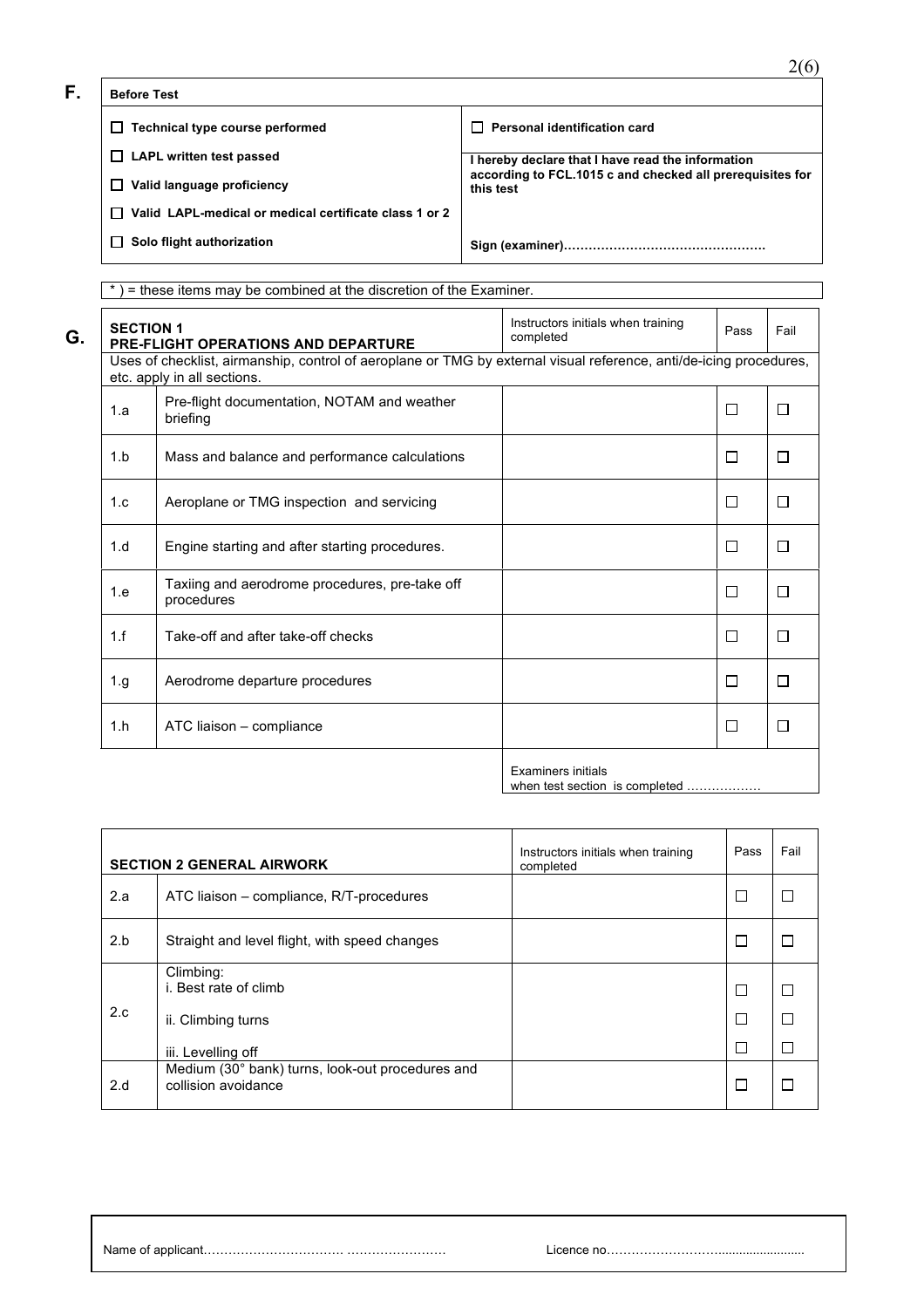□ Technical type course performed <br>
■ Personal identification card  **LAPL written test passed Valid language proficiency Valid LAPL-medical or medical certificate class 1 or 2 Solo flight authorization I hereby declare that I have read the information according to FCL.1015 c and checked all prerequisites for this test Sign (examiner)…………………………………………. F. Before Test**

\* ) = these items may be combined at the discretion of the Examiner. Instructors initials when training **SECTION 1**  msuuciors iniuais when training Pass Fail **PRE-FLIGHT OPERATIONS AND DEPARTURE** Uses of checklist, airmanship, control of aeroplane or TMG by external visual reference, anti/de-icing procedures, etc. apply in all sections. 1.a Pre-flight documentation, NOTAM and weather<br>briefing  $\Box$  $\Box$  $\Box$  $\Box$ 1.b | Mass and balance and performance calculations 1.c | Aeroplane or TMG inspection and servicing  $\Box$  $\Box$ 1.d | Engine starting and after starting procedures.  $\Box$  $\Box$ 1.e Taxiing and aerodrome procedures, pre-take off<br>procedures  $\Box$  $\Box$ 1.f Take-off and after take-off checks  $\Box$  $\Box$  $\Box$ 1.g Aerodrome departure procedures  $\Box$ 1.h | ATC liaison – compliance  $\Box$  $\Box$ Examiners initials

when test section is completed ...

| <b>SECTION 2 GENERAL AIRWORK</b> |                                                                                | Instructors initials when training<br>completed | Pass        | Fail             |
|----------------------------------|--------------------------------------------------------------------------------|-------------------------------------------------|-------------|------------------|
| 2.a                              | ATC liaison – compliance, R/T-procedures                                       |                                                 | ⊏           |                  |
| 2.b                              | Straight and level flight, with speed changes                                  |                                                 | ⊏           |                  |
| 2.c                              | Climbing:<br>i. Best rate of climb<br>ii. Climbing turns<br>iii. Levelling off |                                                 | D<br>Е<br>Г | $\Box$<br>П<br>П |
| 2.d                              | Medium (30° bank) turns, look-out procedures and<br>collision avoidance        |                                                 | Е           |                  |

**G. G.**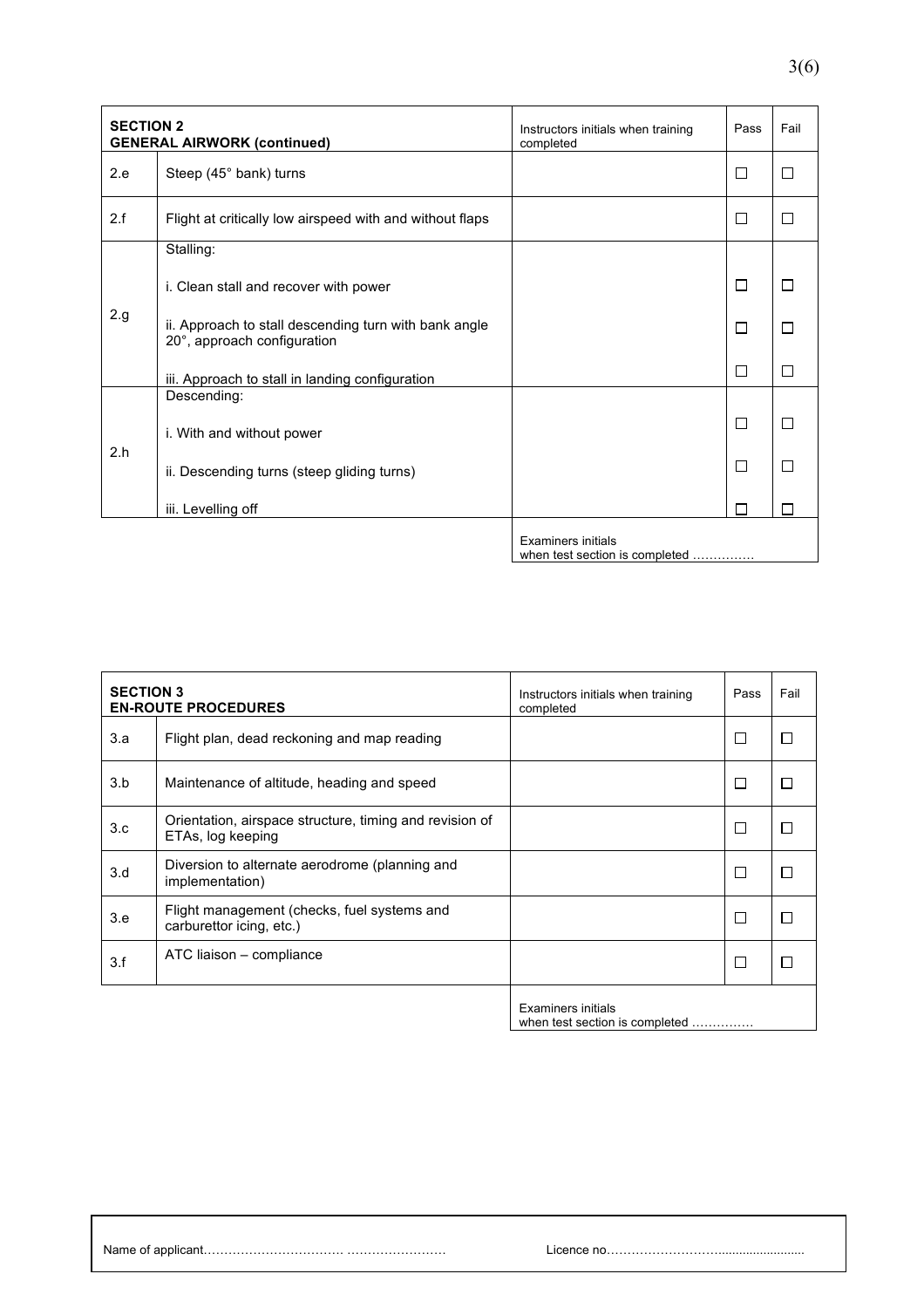| <b>SECTION 2</b><br><b>GENERAL AIRWORK (continued)</b> |                                                                                      | Instructors initials when training<br>completed | Pass                     | Fail   |
|--------------------------------------------------------|--------------------------------------------------------------------------------------|-------------------------------------------------|--------------------------|--------|
| 2.e                                                    | Steep (45° bank) turns                                                               |                                                 | $\Box$                   | $\Box$ |
| 2.f                                                    | Flight at critically low airspeed with and without flaps                             |                                                 | П                        | П      |
|                                                        | Stalling:                                                                            |                                                 |                          |        |
|                                                        | i. Clean stall and recover with power                                                |                                                 | П                        |        |
| 2.g                                                    | ii. Approach to stall descending turn with bank angle<br>20°, approach configuration |                                                 | П                        | П      |
|                                                        | iii. Approach to stall in landing configuration                                      |                                                 | П                        | П      |
| 2.h                                                    | Descending:                                                                          |                                                 |                          |        |
|                                                        | i. With and without power                                                            |                                                 | П                        | П      |
|                                                        | ii. Descending turns (steep gliding turns)                                           |                                                 | $\overline{\phantom{a}}$ |        |
|                                                        | iii. Levelling off                                                                   |                                                 |                          |        |
|                                                        |                                                                                      | <b>Examiners initials</b>                       |                          |        |

when test section is completed ……………

| <b>SECTION 3</b><br><b>EN-ROUTE PROCEDURES</b> |                                                                              | Instructors initials when training<br>completed             | Pass | Fail |
|------------------------------------------------|------------------------------------------------------------------------------|-------------------------------------------------------------|------|------|
| 3.a                                            | Flight plan, dead reckoning and map reading                                  |                                                             | П    |      |
| 3.b                                            | Maintenance of altitude, heading and speed                                   |                                                             | Г    |      |
| 3.c                                            | Orientation, airspace structure, timing and revision of<br>ETAs, log keeping |                                                             | П    |      |
| 3.d                                            | Diversion to alternate aerodrome (planning and<br>implementation)            |                                                             | П    |      |
| 3.e                                            | Flight management (checks, fuel systems and<br>carburettor icing, etc.)      |                                                             | Г    |      |
| 3.f                                            | ATC liaison - compliance                                                     |                                                             | П    |      |
|                                                |                                                                              | <b>Examiners initials</b><br>when test section is completed |      |      |

Name of applicant……………………………. …………………… Licence no……………………….........................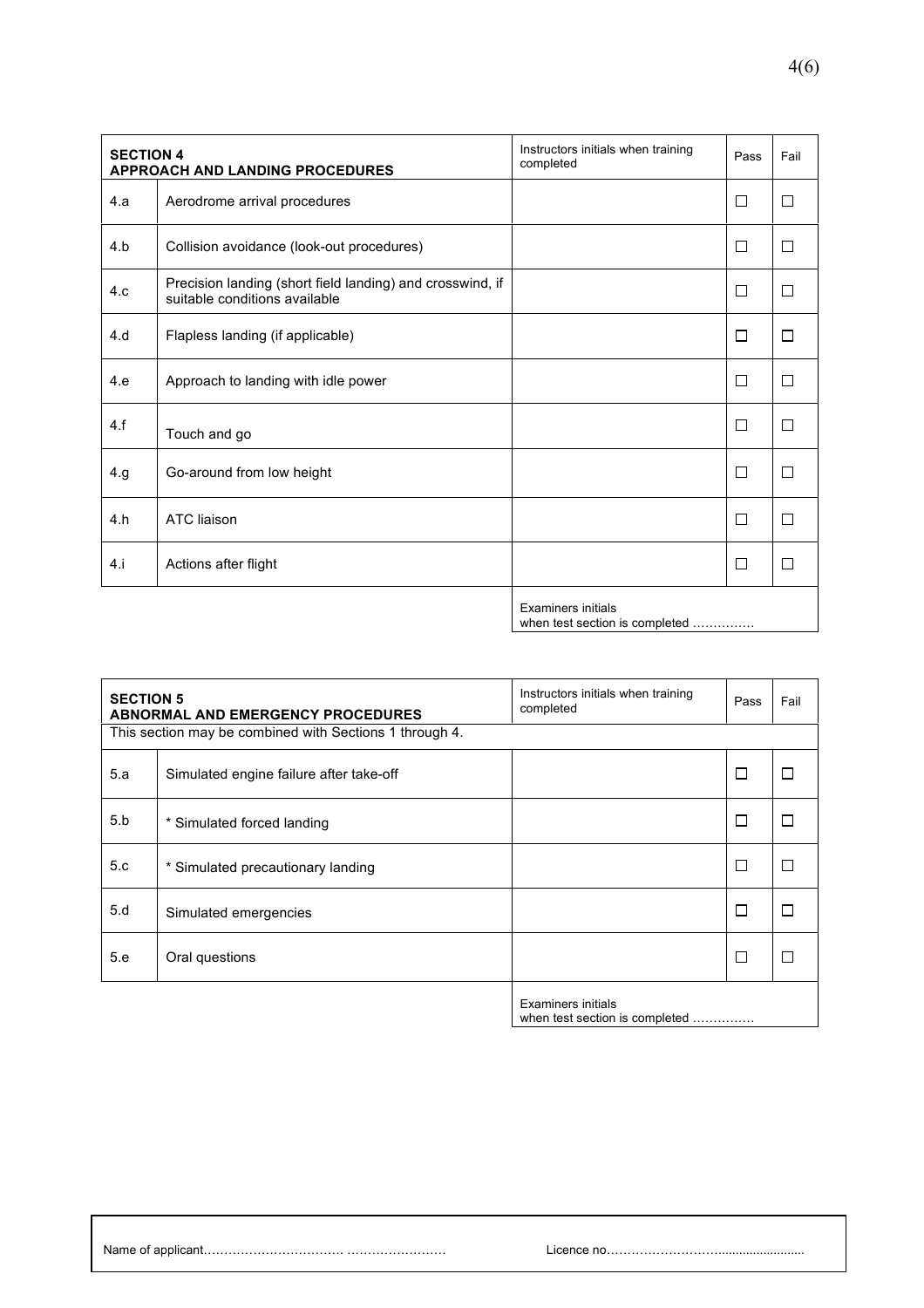| <b>SECTION 4</b><br>APPROACH AND LANDING PROCEDURES |                                                                                            | Instructors initials when training<br>completed | Pass   | Fail   |
|-----------------------------------------------------|--------------------------------------------------------------------------------------------|-------------------------------------------------|--------|--------|
| 4.a                                                 | Aerodrome arrival procedures                                                               |                                                 | $\Box$ | П      |
| 4.b                                                 | Collision avoidance (look-out procedures)                                                  |                                                 | $\Box$ | П      |
| 4.c                                                 | Precision landing (short field landing) and crosswind, if<br>suitable conditions available |                                                 | П      | П      |
| 4.d                                                 | Flapless landing (if applicable)                                                           |                                                 | П      | $\Box$ |
| 4.e                                                 | Approach to landing with idle power                                                        |                                                 | П      | П      |
| 4.f                                                 | Touch and go                                                                               |                                                 | П      | П      |
| 4.g                                                 | Go-around from low height                                                                  |                                                 | П      | П      |
| 4.h                                                 | <b>ATC</b> liaison                                                                         |                                                 | $\Box$ | $\Box$ |
| 4.1                                                 | Actions after flight                                                                       |                                                 | $\Box$ | П      |
|                                                     |                                                                                            | <b>Examiners initials</b>                       |        |        |

when test section is completed ……………

| <b>SECTION 5</b> | <b>ABNORMAL AND EMERGENCY PROCEDURES</b>                | Instructors initials when training<br>completed | Pass   | Fail   |
|------------------|---------------------------------------------------------|-------------------------------------------------|--------|--------|
|                  | This section may be combined with Sections 1 through 4. |                                                 |        |        |
| 5.a              | Simulated engine failure after take-off                 |                                                 | $\Box$ |        |
| 5.b              | * Simulated forced landing                              |                                                 | $\Box$ |        |
| 5.c              | * Simulated precautionary landing                       |                                                 | П      |        |
| 5.d              | Simulated emergencies                                   |                                                 | П      | $\Box$ |
| 5.e              | Oral questions                                          |                                                 | $\Box$ |        |
|                  |                                                         | <b>Examiners initials</b>                       |        |        |

when test section is completed ……………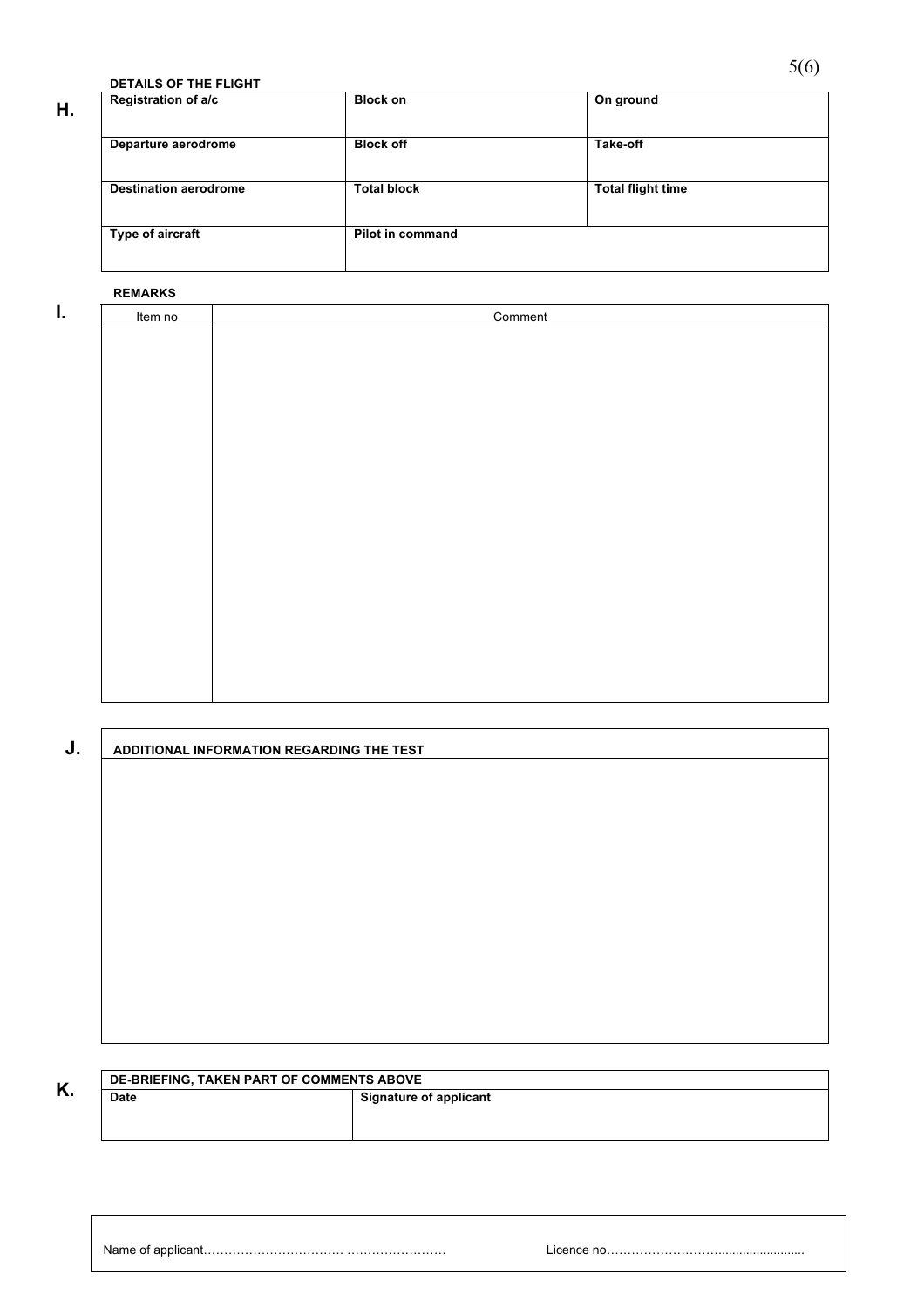**DETAILS OF THE FLIGHT**

| Η. | Registration of a/c          | <b>Block on</b>    | On ground                |
|----|------------------------------|--------------------|--------------------------|
|    | Departure aerodrome          | <b>Block off</b>   | Take-off                 |
|    | <b>Destination aerodrome</b> | <b>Total block</b> | <b>Total flight time</b> |
|    | Type of aircraft             | Pilot in command   |                          |

#### **REMARKS**

| I. | Item no | Comment |
|----|---------|---------|
|    |         |         |
|    |         |         |
|    |         |         |
|    |         |         |
|    |         |         |
|    |         |         |
|    |         |         |
|    |         |         |
|    |         |         |
|    |         |         |
|    |         |         |
|    |         |         |
|    |         |         |
|    |         |         |
|    |         |         |
|    |         |         |
|    |         |         |
|    |         |         |

| J. | ADDITIONAL INFORMATION REGARDING THE TEST |
|----|-------------------------------------------|
|    |                                           |
|    |                                           |
|    |                                           |
|    |                                           |
|    |                                           |
|    |                                           |
|    |                                           |
|    |                                           |
|    |                                           |
|    |                                           |
|    |                                           |
|    |                                           |

**K.** DE-BRIEFING, TAKEN PART OF COMMENTS ABOVE<br>
Signature of applicant

Name of applicant……………………………. …………………… Licence no……………………….........................